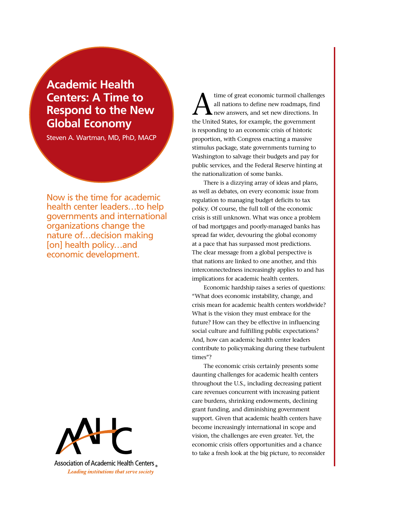# **Academic Health Centers: A Time to Respond to the New Global Economy**

Steven A. Wartman, MD, PhD, MACP

Now is the time for academic health center leaders…to help governments and international organizations change the nature of…decision making [on] health policy…and economic development.



Association of Academic Health Centers Leading institutions that serve society

time of great economic turmoil challenges all nations to define new roadmaps, find new answers, and set new directions. In the United States, for example, the government is responding to an economic crisis of historic proportion, with Congress enacting a massive stimulus package, state governments turning to Washington to salvage their budgets and pay for public services, and the Federal Reserve hinting at the nationalization of some banks.

There is a dizzying array of ideas and plans, as well as debates, on every economic issue from regulation to managing budget deficits to tax policy. Of course, the full toll of the economic crisis is still unknown. What was once a problem of bad mortgages and poorly-managed banks has spread far wider, devouring the global economy at a pace that has surpassed most predictions. The clear message from a global perspective is that nations are linked to one another, and this interconnectedness increasingly applies to and has implications for academic health centers.

Economic hardship raises a series of questions: "What does economic instability, change, and crisis mean for academic health centers worldwide? What is the vision they must embrace for the future? How can they be effective in influencing social culture and fulfilling public expectations? And, how can academic health center leaders contribute to policymaking during these turbulent times"?

The economic crisis certainly presents some daunting challenges for academic health centers throughout the U.S., including decreasing patient care revenues concurrent with increasing patient care burdens, shrinking endowments, declining grant funding, and diminishing government support. Given that academic health centers have become increasingly international in scope and vision, the challenges are even greater. Yet, the economic crisis offers opportunities and a chance to take a fresh look at the big picture, to reconsider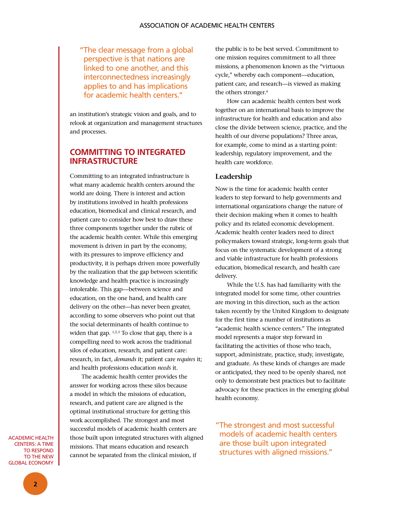" The clear message from a global perspective is that nations are linked to one another, and this interconnectedness increasingly applies to and has implications for academic health centers."

an institution's strategic vision and goals, and to relook at organization and management structures and processes.

# **Committing to Integrated Infrastructure**

Committing to an integrated infrastructure is what many academic health centers around the world are doing. There is interest and action by institutions involved in health professions education, biomedical and clinical research, and patient care to consider how best to draw these three components together under the rubric of the academic health center. While this emerging movement is driven in part by the economy, with its pressures to improve efficiency and productivity, it is perhaps driven more powerfully by the realization that the gap between scientific knowledge and health practice is increasingly intolerable. This gap—between science and education, on the one hand, and health care delivery on the other—has never been greater, according to some observers who point out that the social determinants of health continue to widen that gap. <sup>1,2,3</sup> To close that gap, there is a compelling need to work across the traditional silos of education, research, and patient care: research, in fact, *demands* it; patient care *requires* it; and health professions education *needs* it.

The academic health center provides the answer for working across these silos because a model in which the missions of education, research, and patient care are aligned is the optimal institutional structure for getting this work accomplished. The strongest and most successful models of academic health centers are those built upon integrated structures with aligned missions. That means education and research cannot be separated from the clinical mission, if

the public is to be best served. Commitment to one mission requires commitment to all three missions, a phenomenon known as the "virtuous cycle," whereby each component—education, patient care, and research—is viewed as making the others stronger.<sup>4</sup>

How can academic health centers best work together on an international basis to improve the infrastructure for health and education and also close the divide between science, practice, and the health of our diverse populations? Three areas, for example, come to mind as a starting point: leadership, regulatory improvement, and the health care workforce.

## **Leadership**

Now is the time for academic health center leaders to step forward to help governments and international organizations change the nature of their decision making when it comes to health policy and its related economic development. Academic health center leaders need to direct policymakers toward strategic, long-term goals that focus on the systematic development of a strong and viable infrastructure for health professions education, biomedical research, and health care delivery.

While the U.S. has had familiarity with the integrated model for some time, other countries are moving in this direction, such as the action taken recently by the United Kingdom to designate for the first time a number of institutions as "academic health science centers." The integrated model represents a major step forward in facilitating the activities of those who teach, support, administrate, practice, study, investigate, and graduate. As these kinds of changes are made or anticipated, they need to be openly shared, not only to demonstrate best practices but to facilitate advocacy for these practices in the emerging global health economy.

" The strongest and most successful models of academic health centers are those built upon integrated structures with aligned missions."

Academic Health **CENTERS: A TIME** to Respond to the New Global Economy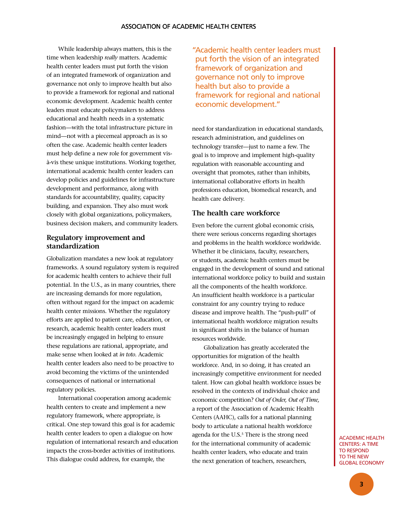While leadership always matters, this is the time when leadership *really* matters. Academic health center leaders must put forth the vision of an integrated framework of organization and governance not only to improve health but also to provide a framework for regional and national economic development. Academic health center leaders must educate policymakers to address educational and health needs in a systematic fashion—with the total infrastructure picture in mind—not with a piecemeal approach as is so often the case. Academic health center leaders must help define a new role for government visà-vis these unique institutions. Working together, international academic health center leaders can develop policies and guidelines for infrastructure development and performance, along with standards for accountability, quality, capacity building, and expansion. They also must work closely with global organizations, policymakers, business decision makers, and community leaders.

## **Regulatory improvement and standardization**

Globalization mandates a new look at regulatory frameworks. A sound regulatory system is required for academic health centers to achieve their full potential. In the U.S., as in many countries, there are increasing demands for more regulation, often without regard for the impact on academic health center missions. Whether the regulatory efforts are applied to patient care, education, or research, academic health center leaders must be increasingly engaged in helping to ensure these regulations are rational, appropriate, and make sense when looked at *in toto*. Academic health center leaders also need to be proactive to avoid becoming the victims of the unintended consequences of national or international regulatory policies.

International cooperation among academic health centers to create and implement a new regulatory framework, where appropriate, is critical. One step toward this goal is for academic health center leaders to open a dialogue on how regulation of international research and education impacts the cross-border activities of institutions. This dialogue could address, for example, the

"Academic health center leaders must put forth the vision of an integrated framework of organization and governance not only to improve health but also to provide a framework for regional and national economic development."

need for standardization in educational standards, research administration, and guidelines on technology transfer—just to name a few. The goal is to improve and implement high-quality regulation with reasonable accounting and oversight that promotes, rather than inhibits, international collaborative efforts in health professions education, biomedical research, and health care delivery.

## **The health care workforce**

Even before the current global economic crisis, there were serious concerns regarding shortages and problems in the health workforce worldwide. Whether it be clinicians, faculty, researchers, or students, academic health centers must be engaged in the development of sound and rational international workforce policy to build and sustain all the components of the health workforce. An insufficient health workforce is a particular constraint for any country trying to reduce disease and improve health. The "push-pull" of international health workforce migration results in significant shifts in the balance of human resources worldwide.

Globalization has greatly accelerated the opportunities for migration of the health workforce. And, in so doing, it has created an increasingly competitive environment for needed talent. How can global health workforce issues be resolved in the contexts of individual choice and economic competition? *Out of Order, Out of Time,* a report of the Association of Academic Health Centers (AAHC), calls for a national planning body to articulate a national health workforce agenda for the U.S.<sup>5</sup> There is the strong need for the international community of academic health center leaders, who educate and train the next generation of teachers, researchers,

Academic Health **CENTERS: A TIME** to Respond to the New Global Economy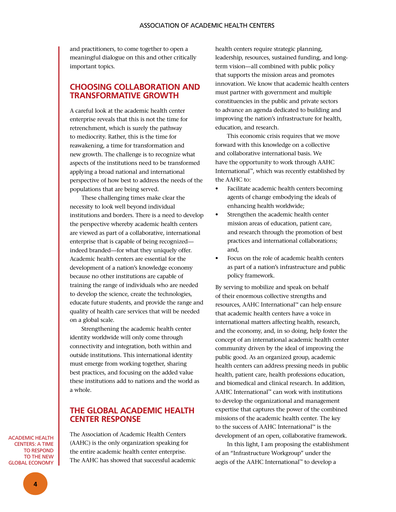and practitioners, to come together to open a meaningful dialogue on this and other critically important topics.

# **Choosing Collaboration and Transformative Growth**

A careful look at the academic health center enterprise reveals that this is not the time for retrenchment, which is surely the pathway to mediocrity. Rather, this is the time for reawakening, a time for transformation and new growth. The challenge is to recognize what aspects of the institutions need to be transformed applying a broad national and international perspective of how best to address the needs of the populations that are being served.

These challenging times make clear the necessity to look well beyond individual institutions and borders. There is a need to develop the perspective whereby academic health centers are viewed as part of a collaborative, international enterprise that is capable of being recognized indeed branded—for what they uniquely offer. Academic health centers are essential for the development of a nation's knowledge economy because no other institutions are capable of training the range of individuals who are needed to develop the science, create the technologies, educate future students, and provide the range and quality of health care services that will be needed on a global scale.

Strengthening the academic health center identity worldwide will only come through connectivity and integration, both within and outside institutions. This international identity must emerge from working together, sharing best practices, and focusing on the added value these institutions add to nations and the world as a whole.

## **The global academic health center response**

Academic Health **CENTERS: A TIME** to Respond The Association of Academic Health Centers (AAHC) is the only organization speaking for the entire academic health center enterprise. The AAHC has showed that successful academic health centers require strategic planning, leadership, resources, sustained funding, and longterm vision—all combined with public policy that supports the mission areas and promotes innovation. We know that academic health centers must partner with government and multiple constituencies in the public and private sectors to advance an agenda dedicated to building and improving the nation's infrastructure for health, education, and research.

This economic crisis requires that we move forward with this knowledge on a collective and collaborative international basis. We have the opportunity to work through AAHC International™, which was recently established by the AAHC to:

- • Facilitate academic health centers becoming agents of change embodying the ideals of enhancing health worldwide;
- Strengthen the academic health center mission areas of education, patient care, and research through the promotion of best practices and international collaborations; and,
- Focus on the role of academic health centers as part of a nation's infrastructure and public policy framework.

By serving to mobilize and speak on behalf of their enormous collective strengths and resources, AAHC International™ can help ensure that academic health centers have a voice in international matters affecting health, research, and the economy, and, in so doing, help foster the concept of an international academic health center community driven by the ideal of improving the public good. As an organized group, academic health centers can address pressing needs in public health, patient care, health professions education, and biomedical and clinical research. In addition, AAHC International™ can work with institutions to develop the organizational and management expertise that captures the power of the combined missions of the academic health center. The key to the success of AAHC International™ is the development of an open, collaborative framework.

In this light, I am proposing the establishment of an "Infrastructure Workgroup" under the aegis of the AAHC International™ to develop a

to the New Global Economy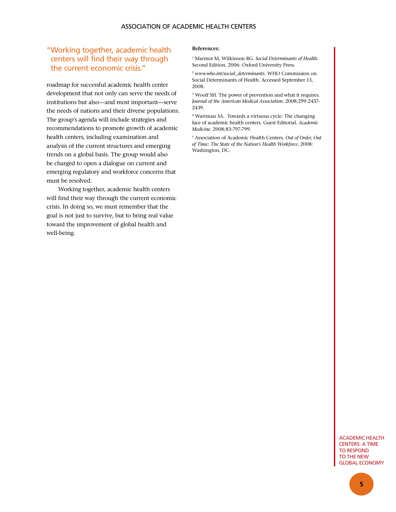#### association of academic health centers

# "Working together, academic health centers will find their way through the current economic crisis."

roadmap for successful academic health center development that not only can serve the needs of institutions but also—and most important—serve the needs of nations and their diverse populations. The group's agenda will include strategies and recommendations to promote growth of academic health centers, including examination and analysis of the current structures and emerging trends on a global basis. The group would also be charged to open a dialogue on current and emerging regulatory and workforce concerns that must be resolved.

Working together, academic health centers will find their way through the current economic crisis. In doing so, we must remember that the goal is not just to survive, but to bring real value toward the improvement of global health and well-being.

#### **References:**

1 Marmot M, Wilkinson RG. *Social Determinants of Health.* Second Edition. 2006: Oxford University Press.

<sup>2</sup> *www.who.int/social\_determinants.* WHO Commission on Social Determinants of Health. Accessed September 13, 2008.

3 Woolf SH. The power of prevention and what it requires. *Journal of the American Medical Association.* 2008;299:2437- 2439.

4 Wartman SA. Towards a virtuous cycle: The changing face of academic health centers. Guest Editorial. *Academic Medicine.* 2008;83:797-799.

5 Association of Academic Health Centers. *Out of Order, Out of Time: The State of the Nation's Health Workforce.* 2008: Washington, DC.

> Academic Health **CENTERS: A TIME** to Respond to the New Global Economy